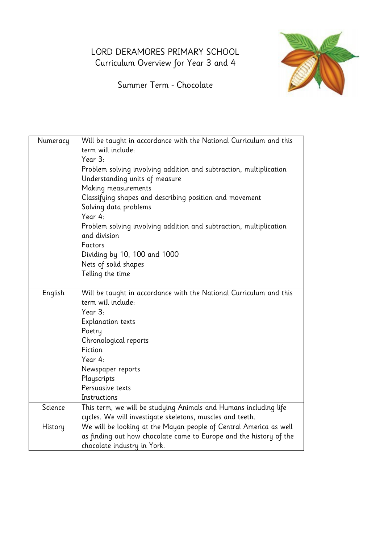## LORD DERAMORES PRIMARY SCHOOL Curriculum Overview for Year 3 and 4



Summer Term - Chocolate

| Numeracy | Will be taught in accordance with the National Curriculum and this<br>term will include:<br>Year 3:<br>Problem solving involving addition and subtraction, multiplication<br>Understanding units of measure<br>Making measurements<br>Classifying shapes and describing position and movement<br>Solving data problems<br>Year 4:<br>Problem solving involving addition and subtraction, multiplication<br>and division<br>Factors<br>Dividing by 10, 100 and 1000<br>Nets of solid shapes |
|----------|--------------------------------------------------------------------------------------------------------------------------------------------------------------------------------------------------------------------------------------------------------------------------------------------------------------------------------------------------------------------------------------------------------------------------------------------------------------------------------------------|
|          | Telling the time                                                                                                                                                                                                                                                                                                                                                                                                                                                                           |
|          |                                                                                                                                                                                                                                                                                                                                                                                                                                                                                            |
| English  | Will be taught in accordance with the National Curriculum and this<br>term will include:                                                                                                                                                                                                                                                                                                                                                                                                   |
|          | Year 3:                                                                                                                                                                                                                                                                                                                                                                                                                                                                                    |
|          | <b>Explanation texts</b>                                                                                                                                                                                                                                                                                                                                                                                                                                                                   |
|          | Poetry                                                                                                                                                                                                                                                                                                                                                                                                                                                                                     |
|          | Chronological reports                                                                                                                                                                                                                                                                                                                                                                                                                                                                      |
|          | Fiction                                                                                                                                                                                                                                                                                                                                                                                                                                                                                    |
|          | Year 4:                                                                                                                                                                                                                                                                                                                                                                                                                                                                                    |
|          | Newspaper reports                                                                                                                                                                                                                                                                                                                                                                                                                                                                          |
|          | Playscripts                                                                                                                                                                                                                                                                                                                                                                                                                                                                                |
|          | Persuasive texts                                                                                                                                                                                                                                                                                                                                                                                                                                                                           |
|          | Instructions                                                                                                                                                                                                                                                                                                                                                                                                                                                                               |
| Science  | This term, we will be studying Animals and Humans including life                                                                                                                                                                                                                                                                                                                                                                                                                           |
|          | cycles. We will investigate skeletons, muscles and teeth.                                                                                                                                                                                                                                                                                                                                                                                                                                  |
| History  | We will be looking at the Mayan people of Central America as well                                                                                                                                                                                                                                                                                                                                                                                                                          |
|          | as finding out how chocolate came to Europe and the history of the                                                                                                                                                                                                                                                                                                                                                                                                                         |
|          | chocolate industry in York.                                                                                                                                                                                                                                                                                                                                                                                                                                                                |